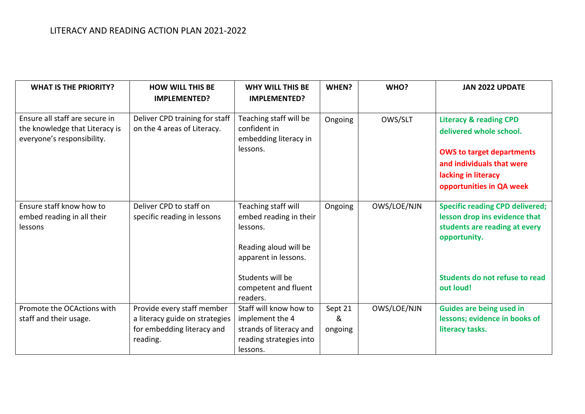| <b>WHAT IS THE PRIORITY?</b>                                                                   | <b>HOW WILL THIS BE</b><br><b>IMPLEMENTED?</b>                                                         | <b>WHY WILL THIS BE</b><br><b>IMPLEMENTED?</b>                                                              | WHEN?                   | WHO?        | <b>JAN 2022 UPDATE</b>                                                                                                                                                           |
|------------------------------------------------------------------------------------------------|--------------------------------------------------------------------------------------------------------|-------------------------------------------------------------------------------------------------------------|-------------------------|-------------|----------------------------------------------------------------------------------------------------------------------------------------------------------------------------------|
| Ensure all staff are secure in<br>the knowledge that Literacy is<br>everyone's responsibility. | Deliver CPD training for staff<br>on the 4 areas of Literacy.                                          | Teaching staff will be<br>confident in<br>embedding literacy in<br>lessons.                                 | Ongoing                 | OWS/SLT     | <b>Literacy &amp; reading CPD</b><br>delivered whole school.<br><b>OWS to target departments</b><br>and individuals that were<br>lacking in literacy<br>opportunities in QA week |
| Ensure staff know how to<br>embed reading in all their<br>lessons                              | Deliver CPD to staff on<br>specific reading in lessons                                                 | Teaching staff will<br>embed reading in their<br>lessons.<br>Reading aloud will be<br>apparent in lessons.  | Ongoing                 | OWS/LOE/NJN | <b>Specific reading CPD delivered;</b><br>lesson drop ins evidence that<br>students are reading at every<br>opportunity.                                                         |
|                                                                                                |                                                                                                        | Students will be<br>competent and fluent<br>readers.                                                        |                         |             | Students do not refuse to read<br>out loud!                                                                                                                                      |
| Promote the OCActions with<br>staff and their usage.                                           | Provide every staff member<br>a literacy guide on strategies<br>for embedding literacy and<br>reading. | Staff will know how to<br>implement the 4<br>strands of literacy and<br>reading strategies into<br>lessons. | Sept 21<br>&<br>ongoing | OWS/LOE/NJN | <b>Guides are being used in</b><br>lessons; evidence in books of<br>literacy tasks.                                                                                              |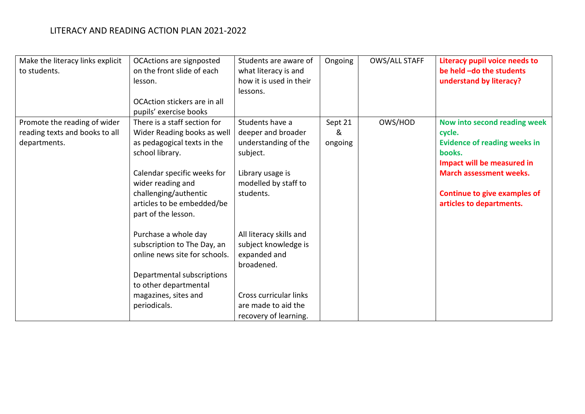| Make the literacy links explicit<br>to students. | OCActions are signposted<br>on the front slide of each | Students are aware of<br>what literacy is and | Ongoing | <b>OWS/ALL STAFF</b> | Literacy pupil voice needs to<br>be held -do the students |
|--------------------------------------------------|--------------------------------------------------------|-----------------------------------------------|---------|----------------------|-----------------------------------------------------------|
|                                                  | lesson.                                                | how it is used in their                       |         |                      | understand by literacy?                                   |
|                                                  |                                                        | lessons.                                      |         |                      |                                                           |
|                                                  | OCAction stickers are in all                           |                                               |         |                      |                                                           |
|                                                  | pupils' exercise books                                 |                                               |         |                      |                                                           |
| Promote the reading of wider                     | There is a staff section for                           | Students have a                               | Sept 21 | OWS/HOD              | Now into second reading week                              |
| reading texts and books to all                   | Wider Reading books as well                            | deeper and broader                            | &       |                      | cycle.                                                    |
| departments.                                     | as pedagogical texts in the                            | understanding of the                          | ongoing |                      | <b>Evidence of reading weeks in</b>                       |
|                                                  | school library.                                        | subject.                                      |         |                      | books.                                                    |
|                                                  |                                                        |                                               |         |                      | Impact will be measured in                                |
|                                                  | Calendar specific weeks for                            | Library usage is                              |         |                      | <b>March assessment weeks.</b>                            |
|                                                  | wider reading and                                      | modelled by staff to                          |         |                      |                                                           |
|                                                  | challenging/authentic                                  | students.                                     |         |                      | Continue to give examples of                              |
|                                                  | articles to be embedded/be<br>part of the lesson.      |                                               |         |                      | articles to departments.                                  |
|                                                  |                                                        |                                               |         |                      |                                                           |
|                                                  | Purchase a whole day                                   | All literacy skills and                       |         |                      |                                                           |
|                                                  | subscription to The Day, an                            | subject knowledge is                          |         |                      |                                                           |
|                                                  | online news site for schools.                          | expanded and                                  |         |                      |                                                           |
|                                                  |                                                        | broadened.                                    |         |                      |                                                           |
|                                                  | Departmental subscriptions                             |                                               |         |                      |                                                           |
|                                                  | to other departmental                                  |                                               |         |                      |                                                           |
|                                                  | magazines, sites and                                   | Cross curricular links                        |         |                      |                                                           |
|                                                  | periodicals.                                           | are made to aid the                           |         |                      |                                                           |
|                                                  |                                                        | recovery of learning.                         |         |                      |                                                           |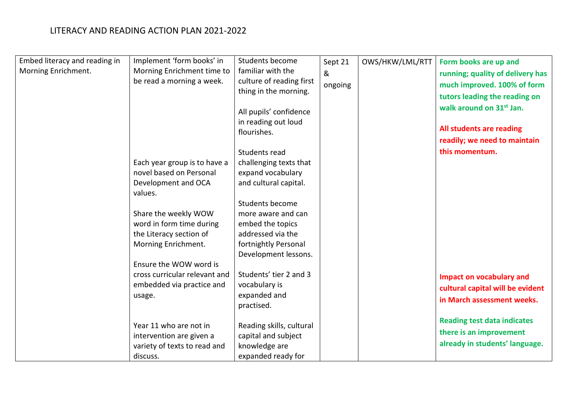| Embed literacy and reading in | Implement 'form books' in     | Students become          | Sept 21 | OWS/HKW/LML/RTT | Form books are up and                |
|-------------------------------|-------------------------------|--------------------------|---------|-----------------|--------------------------------------|
| Morning Enrichment.           | Morning Enrichment time to    | familiar with the        | &       |                 | running; quality of delivery has     |
|                               | be read a morning a week.     | culture of reading first | ongoing |                 | much improved. 100% of form          |
|                               |                               | thing in the morning.    |         |                 | tutors leading the reading on        |
|                               |                               |                          |         |                 |                                      |
|                               |                               | All pupils' confidence   |         |                 | walk around on 31 <sup>st</sup> Jan. |
|                               |                               | in reading out loud      |         |                 |                                      |
|                               |                               | flourishes.              |         |                 | All students are reading             |
|                               |                               |                          |         |                 | readily; we need to maintain         |
|                               |                               | Students read            |         |                 | this momentum.                       |
|                               | Each year group is to have a  | challenging texts that   |         |                 |                                      |
|                               | novel based on Personal       | expand vocabulary        |         |                 |                                      |
|                               | Development and OCA           | and cultural capital.    |         |                 |                                      |
|                               | values.                       |                          |         |                 |                                      |
|                               |                               | Students become          |         |                 |                                      |
|                               | Share the weekly WOW          | more aware and can       |         |                 |                                      |
|                               | word in form time during      | embed the topics         |         |                 |                                      |
|                               | the Literacy section of       | addressed via the        |         |                 |                                      |
|                               | Morning Enrichment.           | fortnightly Personal     |         |                 |                                      |
|                               |                               | Development lessons.     |         |                 |                                      |
|                               | Ensure the WOW word is        |                          |         |                 |                                      |
|                               | cross curricular relevant and | Students' tier 2 and 3   |         |                 | <b>Impact on vocabulary and</b>      |
|                               | embedded via practice and     | vocabulary is            |         |                 | cultural capital will be evident     |
|                               | usage.                        | expanded and             |         |                 | in March assessment weeks.           |
|                               |                               | practised.               |         |                 |                                      |
|                               |                               |                          |         |                 | <b>Reading test data indicates</b>   |
|                               | Year 11 who are not in        | Reading skills, cultural |         |                 | there is an improvement              |
|                               | intervention are given a      | capital and subject      |         |                 |                                      |
|                               | variety of texts to read and  | knowledge are            |         |                 | already in students' language.       |
|                               | discuss.                      | expanded ready for       |         |                 |                                      |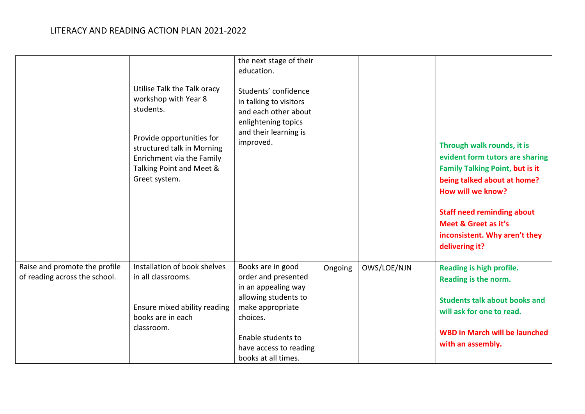|                                                                | Utilise Talk the Talk oracy<br>workshop with Year 8<br>students.<br>Provide opportunities for<br>structured talk in Morning<br>Enrichment via the Family<br>Talking Point and Meet &<br>Greet system. | the next stage of their<br>education.<br>Students' confidence<br>in talking to visitors<br>and each other about<br>enlightening topics<br>and their learning is<br>improved. |         |             | Through walk rounds, it is<br>evident form tutors are sharing<br><b>Family Talking Point, but is it</b><br>being talked about at home?<br>How will we know?<br><b>Staff need reminding about</b><br>Meet & Greet as it's<br>inconsistent. Why aren't they<br>delivering it? |
|----------------------------------------------------------------|-------------------------------------------------------------------------------------------------------------------------------------------------------------------------------------------------------|------------------------------------------------------------------------------------------------------------------------------------------------------------------------------|---------|-------------|-----------------------------------------------------------------------------------------------------------------------------------------------------------------------------------------------------------------------------------------------------------------------------|
| Raise and promote the profile<br>of reading across the school. | Installation of book shelves<br>in all classrooms.<br>Ensure mixed ability reading<br>books are in each                                                                                               | Books are in good<br>order and presented<br>in an appealing way<br>allowing students to<br>make appropriate<br>choices.                                                      | Ongoing | OWS/LOE/NJN | Reading is high profile.<br>Reading is the norm.<br><b>Students talk about books and</b><br>will ask for one to read.                                                                                                                                                       |
|                                                                | classroom.                                                                                                                                                                                            | Enable students to<br>have access to reading<br>books at all times.                                                                                                          |         |             | <b>WBD in March will be launched</b><br>with an assembly.                                                                                                                                                                                                                   |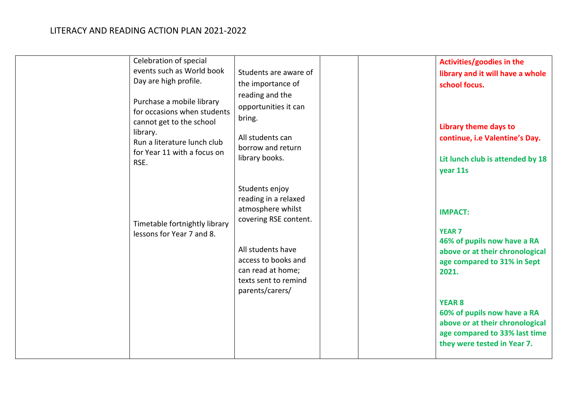| events such as World book<br>Day are high profile.<br>Purchase a mobile library<br>for occasions when students<br>cannot get to the school<br>library.<br>Run a literature lunch club<br>for Year 11 with a focus on<br>RSE. | Students are aware of<br>the importance of<br>reading and the<br>opportunities it can<br>bring.<br>All students can<br>borrow and return<br>library books.<br>Students enjoy   | library and it will have a whole<br>school focus.<br>Library theme days to<br>continue, i.e Valentine's Day.<br>Lit lunch club is attended by 18<br>year 11s |
|------------------------------------------------------------------------------------------------------------------------------------------------------------------------------------------------------------------------------|--------------------------------------------------------------------------------------------------------------------------------------------------------------------------------|--------------------------------------------------------------------------------------------------------------------------------------------------------------|
| Timetable fortnightly library<br>lessons for Year 7 and 8.                                                                                                                                                                   | reading in a relaxed<br>atmosphere whilst<br>covering RSE content.<br>All students have<br>access to books and<br>can read at home;<br>texts sent to remind<br>parents/carers/ | <b>IMPACT:</b><br><b>YEAR 7</b><br>46% of pupils now have a RA<br>above or at their chronological<br>age compared to 31% in Sept<br>2021.                    |
|                                                                                                                                                                                                                              |                                                                                                                                                                                | <b>YEAR 8</b><br>60% of pupils now have a RA<br>above or at their chronological<br>age compared to 33% last time<br>they were tested in Year 7.              |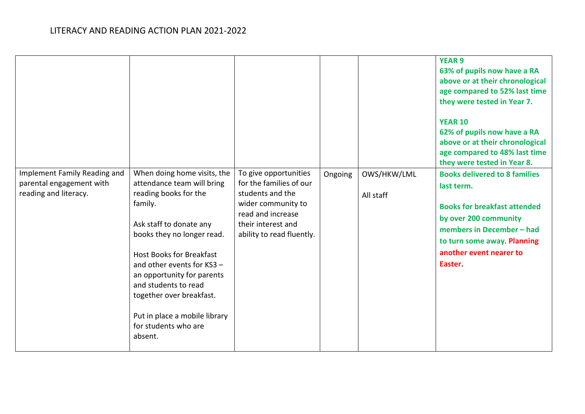|                                                                                   |                                                                                                                                                                                                                                                                                                                                                                               |                                                                                                                                                                    |         |                          | <b>YEAR 9</b><br>63% of pupils now have a RA<br>above or at their chronological<br>age compared to 52% last time<br>they were tested in Year 7.<br><b>YEAR 10</b><br>62% of pupils now have a RA<br>above or at their chronological<br>age compared to 48% last time<br>they were tested in Year 8. |
|-----------------------------------------------------------------------------------|-------------------------------------------------------------------------------------------------------------------------------------------------------------------------------------------------------------------------------------------------------------------------------------------------------------------------------------------------------------------------------|--------------------------------------------------------------------------------------------------------------------------------------------------------------------|---------|--------------------------|-----------------------------------------------------------------------------------------------------------------------------------------------------------------------------------------------------------------------------------------------------------------------------------------------------|
| Implement Family Reading and<br>parental engagement with<br>reading and literacy. | When doing home visits, the<br>attendance team will bring<br>reading books for the<br>family.<br>Ask staff to donate any<br>books they no longer read.<br><b>Host Books for Breakfast</b><br>and other events for KS3 -<br>an opportunity for parents<br>and students to read<br>together over breakfast.<br>Put in place a mobile library<br>for students who are<br>absent. | To give opportunities<br>for the families of our<br>students and the<br>wider community to<br>read and increase<br>their interest and<br>ability to read fluently. | Ongoing | OWS/HKW/LML<br>All staff | <b>Books delivered to 8 families</b><br>last term.<br><b>Books for breakfast attended</b><br>by over 200 community<br>members in December - had<br>to turn some away. Planning<br>another event nearer to<br>Easter.                                                                                |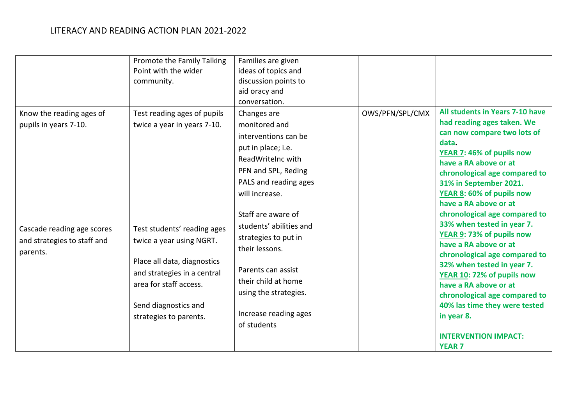|                                                                       | Promote the Family Talking<br>Point with the wider<br>community.                                                                                                                                  | Families are given<br>ideas of topics and<br>discussion points to<br>aid oracy and<br>conversation.                                                                                     |                 |                                                                                                                                                                                                                                                                                                                                        |
|-----------------------------------------------------------------------|---------------------------------------------------------------------------------------------------------------------------------------------------------------------------------------------------|-----------------------------------------------------------------------------------------------------------------------------------------------------------------------------------------|-----------------|----------------------------------------------------------------------------------------------------------------------------------------------------------------------------------------------------------------------------------------------------------------------------------------------------------------------------------------|
| Know the reading ages of<br>pupils in years 7-10.                     | Test reading ages of pupils<br>twice a year in years 7-10.                                                                                                                                        | Changes are<br>monitored and<br>interventions can be<br>put in place; i.e.<br>ReadWriteInc with<br>PFN and SPL, Reding<br>PALS and reading ages<br>will increase.<br>Staff are aware of | OWS/PFN/SPL/CMX | All students in Years 7-10 have<br>had reading ages taken. We<br>can now compare two lots of<br>data.<br>YEAR 7: 46% of pupils now<br>have a RA above or at<br>chronological age compared to<br>31% in September 2021.<br>YEAR 8: 60% of pupils now<br>have a RA above or at<br>chronological age compared to                          |
| Cascade reading age scores<br>and strategies to staff and<br>parents. | Test students' reading ages<br>twice a year using NGRT.<br>Place all data, diagnostics<br>and strategies in a central<br>area for staff access.<br>Send diagnostics and<br>strategies to parents. | students' abilities and<br>strategies to put in<br>their lessons.<br>Parents can assist<br>their child at home<br>using the strategies.<br>Increase reading ages<br>of students         |                 | 33% when tested in year 7.<br>YEAR 9: 73% of pupils now<br>have a RA above or at<br>chronological age compared to<br>32% when tested in year 7.<br>YEAR 10: 72% of pupils now<br>have a RA above or at<br>chronological age compared to<br>40% las time they were tested<br>in year 8.<br><b>INTERVENTION IMPACT:</b><br><b>YEAR 7</b> |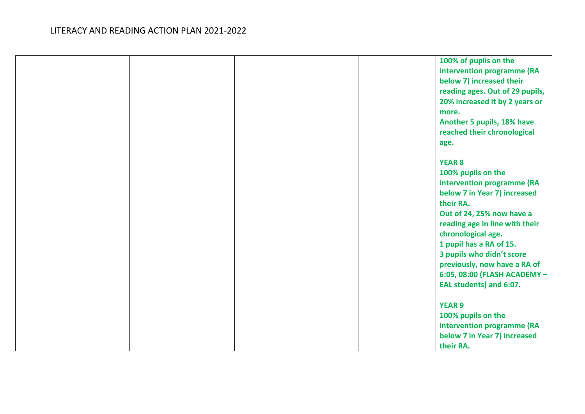|  |  | 100% of pupils on the           |
|--|--|---------------------------------|
|  |  | intervention programme (RA      |
|  |  | below 7) increased their        |
|  |  | reading ages. Out of 29 pupils, |
|  |  | 20% increased it by 2 years or  |
|  |  | more.                           |
|  |  | Another 5 pupils, 18% have      |
|  |  | reached their chronological     |
|  |  | age.                            |
|  |  |                                 |
|  |  | <b>YEAR 8</b>                   |
|  |  | 100% pupils on the              |
|  |  | intervention programme (RA      |
|  |  | below 7 in Year 7) increased    |
|  |  | their RA.                       |
|  |  | Out of 24, 25% now have a       |
|  |  | reading age in line with their  |
|  |  | chronological age.              |
|  |  | 1 pupil has a RA of 15.         |
|  |  | 3 pupils who didn't score       |
|  |  | previously, now have a RA of    |
|  |  | 6:05, 08:00 (FLASH ACADEMY -    |
|  |  | EAL students) and 6:07.         |
|  |  |                                 |
|  |  | <b>YEAR 9</b>                   |
|  |  | 100% pupils on the              |
|  |  | intervention programme (RA      |
|  |  | below 7 in Year 7) increased    |
|  |  | their RA.                       |